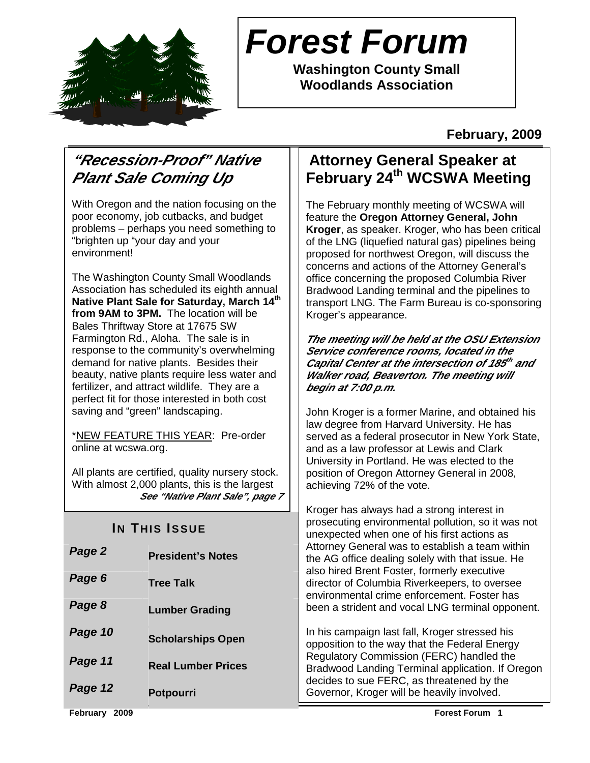

# **Forest Forum**

**Washington County Small Woodlands Association** 

### **February, 2009**

# **"Recession-Proof" Native Plant Sale Coming Up**

With Oregon and the nation focusing on the poor economy, job cutbacks, and budget problems – perhaps you need something to "brighten up "your day and your environment!

The Washington County Small Woodlands Association has scheduled its eighth annual **Native Plant Sale for Saturday, March 14th from 9AM to 3PM.** The location will be Bales Thriftway Store at 17675 SW Farmington Rd., Aloha. The sale is in response to the community's overwhelming demand for native plants. Besides their beauty, native plants require less water and fertilizer, and attract wildlife. They are a perfect fit for those interested in both cost saving and "green" landscaping.

\*NEW FEATURE THIS YEAR: Pre-order online at wcswa.org.

All plants are certified, quality nursery stock. With almost 2,000 plants, this is the largest **See "Native Plant Sale", page 7**

## **IN THIS ISSUE**

| Page 2  | <b>President's Notes</b>  |
|---------|---------------------------|
| Page 6  | <b>Tree Talk</b>          |
| Page 8  | <b>Lumber Grading</b>     |
| Page 10 | <b>Scholarships Open</b>  |
| Page 11 | <b>Real Lumber Prices</b> |
| Page 12 | <b>Potpourri</b>          |

# **Attorney General Speaker at February 24th WCSWA Meeting**

The February monthly meeting of WCSWA will feature the **Oregon Attorney General, John Kroger**, as speaker. Kroger, who has been critical of the LNG (liquefied natural gas) pipelines being proposed for northwest Oregon, will discuss the concerns and actions of the Attorney General's office concerning the proposed Columbia River Bradwood Landing terminal and the pipelines to transport LNG. The Farm Bureau is co-sponsoring Kroger's appearance.

**The meeting will be held at the OSU Extension Service conference rooms, located in the**  Capital Center at the intersection of 185<sup>th</sup> and **Walker road, Beaverton. The meeting will begin at 7:00 p.m.** 

John Kroger is a former Marine, and obtained his law degree from Harvard University. He has served as a federal prosecutor in New York State, and as a law professor at Lewis and Clark University in Portland. He was elected to the position of Oregon Attorney General in 2008, achieving 72% of the vote.

Kroger has always had a strong interest in prosecuting environmental pollution, so it was not unexpected when one of his first actions as Attorney General was to establish a team within the AG office dealing solely with that issue. He also hired Brent Foster, formerly executive director of Columbia Riverkeepers, to oversee environmental crime enforcement. Foster has been a strident and vocal LNG terminal opponent.

In his campaign last fall, Kroger stressed his opposition to the way that the Federal Energy Regulatory Commission (FERC) handled the Bradwood Landing Terminal application. If Oregon decides to sue FERC, as threatened by the Governor, Kroger will be heavily involved.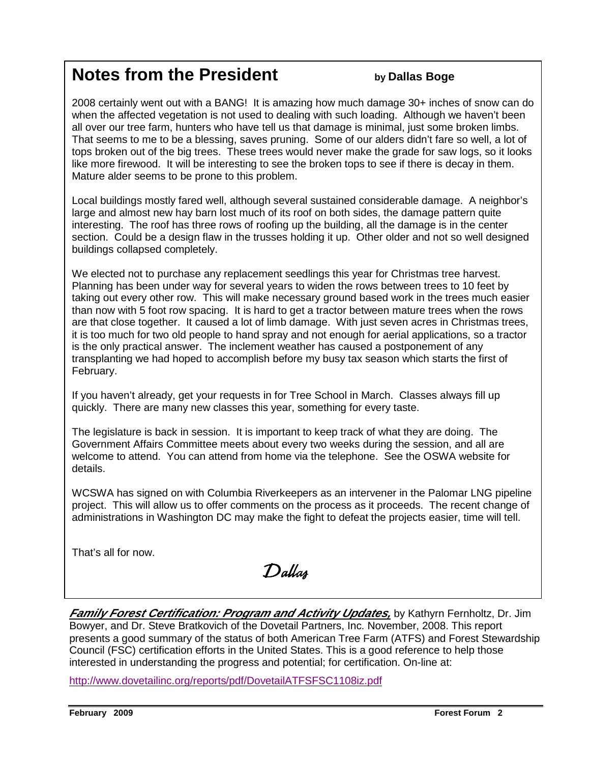# **Notes from the President by Dallas Boge**

2008 certainly went out with a BANG! It is amazing how much damage 30+ inches of snow can do when the affected vegetation is not used to dealing with such loading. Although we haven't been all over our tree farm, hunters who have tell us that damage is minimal, just some broken limbs. That seems to me to be a blessing, saves pruning. Some of our alders didn't fare so well, a lot of tops broken out of the big trees. These trees would never make the grade for saw logs, so it looks like more firewood. It will be interesting to see the broken tops to see if there is decay in them. Mature alder seems to be prone to this problem.

Local buildings mostly fared well, although several sustained considerable damage. A neighbor's large and almost new hay barn lost much of its roof on both sides, the damage pattern quite interesting. The roof has three rows of roofing up the building, all the damage is in the center section. Could be a design flaw in the trusses holding it up. Other older and not so well designed buildings collapsed completely.

We elected not to purchase any replacement seedlings this year for Christmas tree harvest. Planning has been under way for several years to widen the rows between trees to 10 feet by taking out every other row. This will make necessary ground based work in the trees much easier than now with 5 foot row spacing. It is hard to get a tractor between mature trees when the rows are that close together. It caused a lot of limb damage. With just seven acres in Christmas trees, it is too much for two old people to hand spray and not enough for aerial applications, so a tractor is the only practical answer. The inclement weather has caused a postponement of any transplanting we had hoped to accomplish before my busy tax season which starts the first of February.

If you haven't already, get your requests in for Tree School in March. Classes always fill up quickly. There are many new classes this year, something for every taste.

The legislature is back in session. It is important to keep track of what they are doing. The Government Affairs Committee meets about every two weeks during the session, and all are welcome to attend. You can attend from home via the telephone. See the OSWA website for details.

WCSWA has signed on with Columbia Riverkeepers as an intervener in the Palomar LNG pipeline project. This will allow us to offer comments on the process as it proceeds. The recent change of administrations in Washington DC may make the fight to defeat the projects easier, time will tell.

That's all for now.

Dallas

**Family Forest Certification: Program and Activity Updates,** by Kathyrn Fernholtz, Dr. Jim Bowyer, and Dr. Steve Bratkovich of the Dovetail Partners, Inc. November, 2008. This report presents a good summary of the status of both American Tree Farm (ATFS) and Forest Stewardship Council (FSC) certification efforts in the United States. This is a good reference to help those interested in understanding the progress and potential; for certification. On-line at:

http://www.dovetailinc.org/reports/pdf/DovetailATFSFSC1108iz.pdf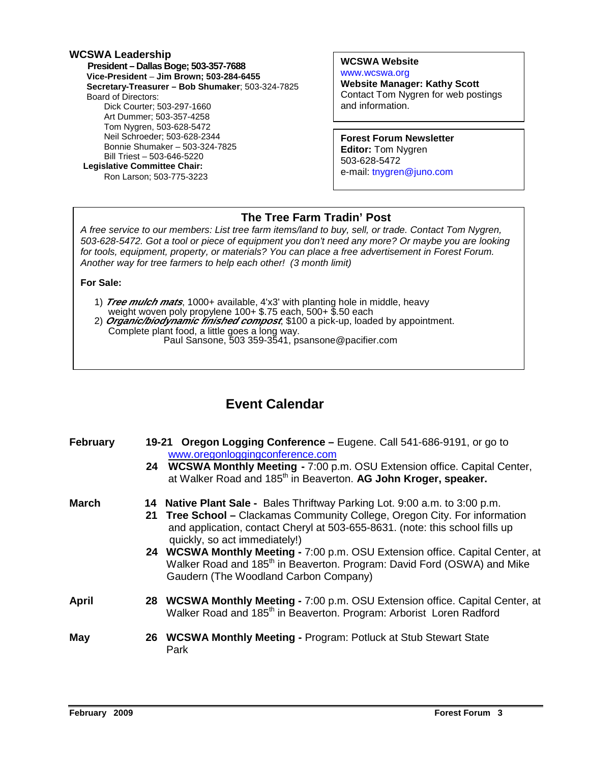#### **WCSWA Leadership**

 **President – Dallas Boge; 503-357-7688 Vice-President** – **Jim Brown; 503-284-6455 Secretary-Treasurer – Bob Shumaker**; 503-324-7825 Board of Directors: Dick Courter; 503-297-1660 Art Dummer; 503-357-4258 Tom Nygren, 503-628-5472 Neil Schroeder; 503-628-2344 Bonnie Shumaker – 503-324-7825 Bill Triest – 503-646-5220  **Legislative Committee Chair:**  Ron Larson; 503-775-3223

**WCSWA Website** www.wcswa.org

**Website Manager: Kathy Scott** Contact Tom Nygren for web postings and information.

**Forest Forum Newsletter Editor:** Tom Nygren 503-628-5472 e-mail: tnygren@juno.com

#### **The Tree Farm Tradin' Post**

 for tools, equipment, property, or materials? You can place a free advertisement in Forest Forum. A free service to our members: List tree farm items/land to buy, sell, or trade. Contact Tom Nygren, 503-628-5472. Got a tool or piece of equipment you don't need any more? Or maybe you are looking Another way for tree farmers to help each other! (3 month limit)

#### **For Sale:**

- 1) **Tree mulch mats**, 1000+ available, 4'x3' with planting hole in middle, heavy weight woven poly propylene 100+ \$.75 each, 500+ \$.50 each
- 2) **Organic/biodynamic finished compost**, \$100 a pick-up, loaded by appointment. Complete plant food, a little goes a long way. Paul Sansone, 503 359-3541, psansone@pacifier.com

#### **Event Calendar**

| <b>February</b> | 19-21 Oregon Logging Conference – Eugene. Call 541-686-9191, or go to<br>www.oregonloggingconference.com<br>24 WCSWA Monthly Meeting - 7:00 p.m. OSU Extension office. Capital Center,<br>at Walker Road and 185 <sup>th</sup> in Beaverton. AG John Kroger, speaker.                                                                                                                                                                                                                      |
|-----------------|--------------------------------------------------------------------------------------------------------------------------------------------------------------------------------------------------------------------------------------------------------------------------------------------------------------------------------------------------------------------------------------------------------------------------------------------------------------------------------------------|
| <b>March</b>    | 14 Native Plant Sale - Bales Thriftway Parking Lot. 9:00 a.m. to 3:00 p.m.<br>21 Tree School - Clackamas Community College, Oregon City. For information<br>and application, contact Cheryl at 503-655-8631. (note: this school fills up<br>quickly, so act immediately!)<br>24 WCSWA Monthly Meeting - 7:00 p.m. OSU Extension office. Capital Center, at<br>Walker Road and 185 <sup>th</sup> in Beaverton. Program: David Ford (OSWA) and Mike<br>Gaudern (The Woodland Carbon Company) |
| April           | 28 WCSWA Monthly Meeting - 7:00 p.m. OSU Extension office. Capital Center, at<br>Walker Road and 185 <sup>th</sup> in Beaverton. Program: Arborist Loren Radford                                                                                                                                                                                                                                                                                                                           |
| May             | 26 WCSWA Monthly Meeting - Program: Potluck at Stub Stewart State<br>Park                                                                                                                                                                                                                                                                                                                                                                                                                  |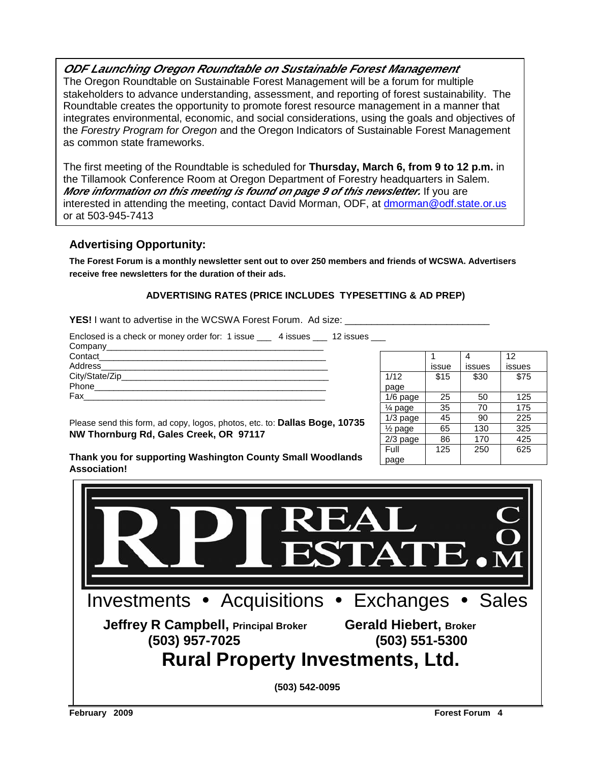#### **ODF Launching Oregon Roundtable on Sustainable Forest Management**

The Oregon Roundtable on Sustainable Forest Management will be a forum for multiple stakeholders to advance understanding, assessment, and reporting of forest sustainability. The Roundtable creates the opportunity to promote forest resource management in a manner that integrates environmental, economic, and social considerations, using the goals and objectives of the Forestry Program for Oregon and the Oregon Indicators of Sustainable Forest Management as common state frameworks.

The first meeting of the Roundtable is scheduled for **Thursday, March 6, from 9 to 12 p.m.** in the Tillamook Conference Room at Oregon Department of Forestry headquarters in Salem. **More information on this meeting is found on page 9 of this newsletter.** If you are interested in attending the meeting, contact David Morman, ODF, at dmorman@odf.state.or.us or at 503-945-7413

#### **Advertising Opportunity:**

**The Forest Forum is a monthly newsletter sent out to over 250 members and friends of WCSWA. Advertisers receive free newsletters for the duration of their ads.** 

#### **ADVERTISING RATES (PRICE INCLUDES TYPESETTING & AD PREP)**

**YES!** I want to advertise in the WCSWA Forest Forum. Ad size:

| Enclosed is a check or money order for: 1 issue ___ 4 issues ___ 12 issues ___ |  |
|--------------------------------------------------------------------------------|--|
|                                                                                |  |
|                                                                                |  |
|                                                                                |  |
|                                                                                |  |
|                                                                                |  |
| Fax ________________                                                           |  |
|                                                                                |  |

|                    |       |        | 12     |
|--------------------|-------|--------|--------|
|                    | issue | issues | issues |
| 1/12               | \$15  | \$30   | \$75   |
| page               |       |        |        |
| $1/6$ page         | 25    | 50     | 125    |
| $\frac{1}{4}$ page | 35    | 70     | 175    |
| $1/3$ page         | 45    | 90     | 225    |
| $\frac{1}{2}$ page | 65    | 130    | 325    |
| $2/3$ page         | 86    | 170    | 425    |
| Full               | 125   | 250    | 625    |
| page               |       |        |        |

Please send this form, ad copy, logos, photos, etc. to: **Dallas Boge, 10735 NW Thornburg Rd, Gales Creek, OR 97117** 

**Thank you for supporting Washington County Small Woodlands Association!** 

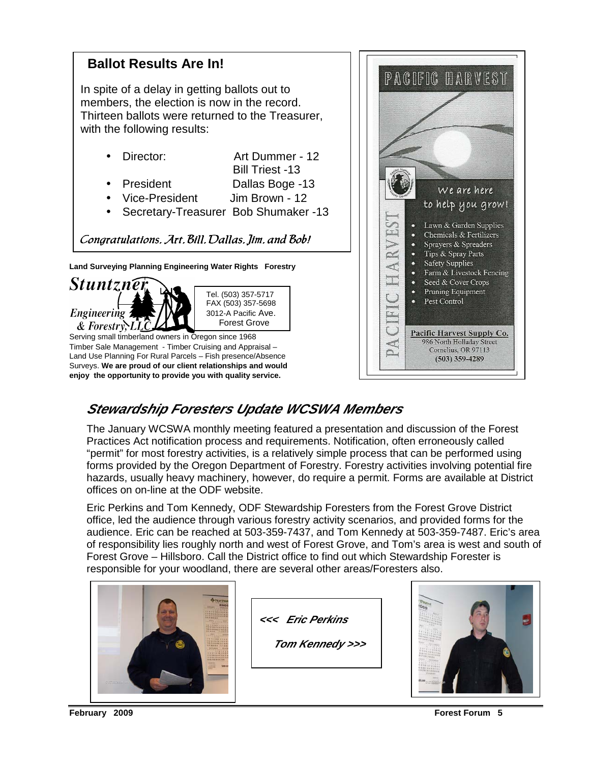

## **Stewardship Foresters Update WCSWA Members**

The January WCSWA monthly meeting featured a presentation and discussion of the Forest Practices Act notification process and requirements. Notification, often erroneously called "permit" for most forestry activities, is a relatively simple process that can be performed using forms provided by the Oregon Department of Forestry. Forestry activities involving potential fire hazards, usually heavy machinery, however, do require a permit. Forms are available at District offices on on-line at the ODF website.

Eric Perkins and Tom Kennedy, ODF Stewardship Foresters from the Forest Grove District office, led the audience through various forestry activity scenarios, and provided forms for the audience. Eric can be reached at 503-359-7437, and Tom Kennedy at 503-359-7487. Eric's area of responsibility lies roughly north and west of Forest Grove, and Tom's area is west and south of Forest Grove – Hillsboro. Call the District office to find out which Stewardship Forester is responsible for your woodland, there are several other areas/Foresters also.



**<<< Eric Perkins** 

 **Tom Kennedy >>>** 

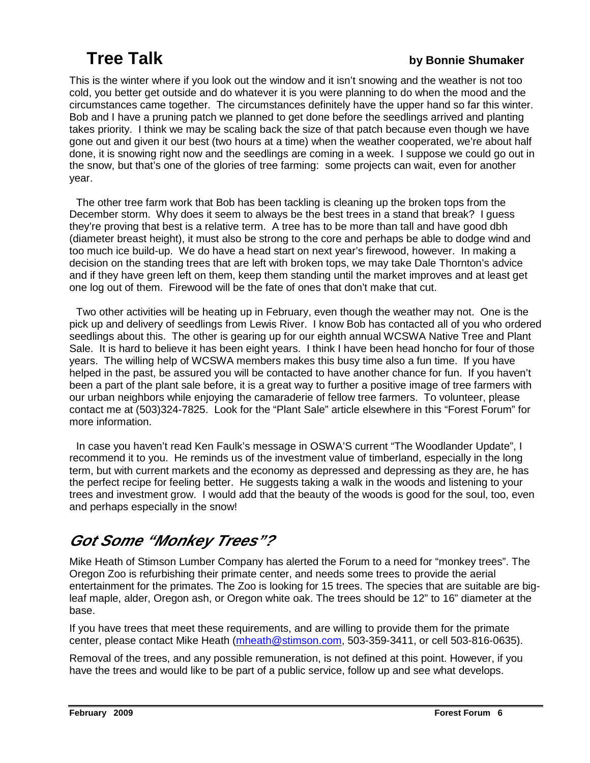## **Tree Talk by Bonnie Shumaker**

This is the winter where if you look out the window and it isn't snowing and the weather is not too cold, you better get outside and do whatever it is you were planning to do when the mood and the circumstances came together. The circumstances definitely have the upper hand so far this winter. Bob and I have a pruning patch we planned to get done before the seedlings arrived and planting takes priority. I think we may be scaling back the size of that patch because even though we have gone out and given it our best (two hours at a time) when the weather cooperated, we're about half done, it is snowing right now and the seedlings are coming in a week. I suppose we could go out in the snow, but that's one of the glories of tree farming: some projects can wait, even for another year.

 The other tree farm work that Bob has been tackling is cleaning up the broken tops from the December storm. Why does it seem to always be the best trees in a stand that break? I guess they're proving that best is a relative term. A tree has to be more than tall and have good dbh (diameter breast height), it must also be strong to the core and perhaps be able to dodge wind and too much ice build-up. We do have a head start on next year's firewood, however. In making a decision on the standing trees that are left with broken tops, we may take Dale Thornton's advice and if they have green left on them, keep them standing until the market improves and at least get one log out of them. Firewood will be the fate of ones that don't make that cut.

 Two other activities will be heating up in February, even though the weather may not. One is the pick up and delivery of seedlings from Lewis River. I know Bob has contacted all of you who ordered seedlings about this. The other is gearing up for our eighth annual WCSWA Native Tree and Plant Sale. It is hard to believe it has been eight years. I think I have been head honcho for four of those years. The willing help of WCSWA members makes this busy time also a fun time. If you have helped in the past, be assured you will be contacted to have another chance for fun. If you haven't been a part of the plant sale before, it is a great way to further a positive image of tree farmers with our urban neighbors while enjoying the camaraderie of fellow tree farmers. To volunteer, please contact me at (503)324-7825. Look for the "Plant Sale" article elsewhere in this "Forest Forum" for more information.

 In case you haven't read Ken Faulk's message in OSWA'S current "The Woodlander Update", I recommend it to you. He reminds us of the investment value of timberland, especially in the long term, but with current markets and the economy as depressed and depressing as they are, he has the perfect recipe for feeling better. He suggests taking a walk in the woods and listening to your trees and investment grow. I would add that the beauty of the woods is good for the soul, too, even and perhaps especially in the snow!

# **Got Some "Monkey Trees"?**

Mike Heath of Stimson Lumber Company has alerted the Forum to a need for "monkey trees". The Oregon Zoo is refurbishing their primate center, and needs some trees to provide the aerial entertainment for the primates. The Zoo is looking for 15 trees. The species that are suitable are bigleaf maple, alder, Oregon ash, or Oregon white oak. The trees should be 12" to 16" diameter at the base.

If you have trees that meet these requirements, and are willing to provide them for the primate center, please contact Mike Heath (mheath@stimson.com, 503-359-3411, or cell 503-816-0635).

Removal of the trees, and any possible remuneration, is not defined at this point. However, if you have the trees and would like to be part of a public service, follow up and see what develops.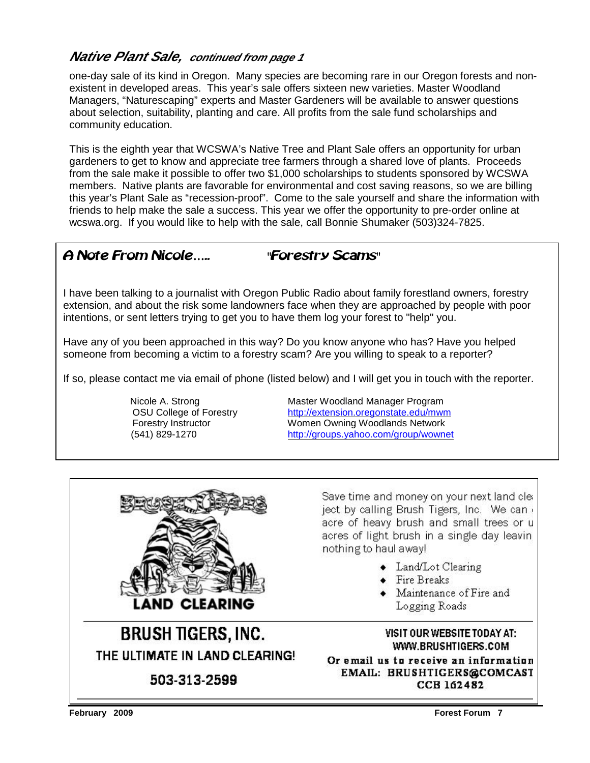#### **Native Plant Sale, continued from page 1**

one-day sale of its kind in Oregon. Many species are becoming rare in our Oregon forests and nonexistent in developed areas. This year's sale offers sixteen new varieties. Master Woodland Managers, "Naturescaping" experts and Master Gardeners will be available to answer questions about selection, suitability, planting and care. All profits from the sale fund scholarships and community education.

This is the eighth year that WCSWA's Native Tree and Plant Sale offers an opportunity for urban gardeners to get to know and appreciate tree farmers through a shared love of plants. Proceeds from the sale make it possible to offer two \$1,000 scholarships to students sponsored by WCSWA members. Native plants are favorable for environmental and cost saving reasons, so we are billing this year's Plant Sale as "recession-proof". Come to the sale yourself and share the information with friends to help make the sale a success. This year we offer the opportunity to pre-order online at wcswa.org. If you would like to help with the sale, call Bonnie Shumaker (503)324-7825.

#### A Note From Nicole….. "Forestry Scams"

I have been talking to a journalist with Oregon Public Radio about family forestland owners, forestry extension, and about the risk some landowners face when they are approached by people with poor intentions, or sent letters trying to get you to have them log your forest to "help" you.

Have any of you been approached in this way? Do you know anyone who has? Have you helped someone from becoming a victim to a forestry scam? Are you willing to speak to a reporter?

If so, please contact me via email of phone (listed below) and I will get you in touch with the reporter.

Nicole A. Strong **Master Woodland Manager Program**  OSU College of Forestry http://extension.oregonstate.edu/mwm Forestry Instructor **Women Owning Woodlands Network** (541) 829-1270 http://groups.yahoo.com/group/wownet



THE ULTIMATE IN LAND CLEARING!

503-313-2599

Save time and money on your next land clea ject by calling Brush Tigers, Inc. We can acre of heavy brush and small trees or u acres of light brush in a single day leaving nothing to haul away!

- Land/Lot Clearing
- $\bullet$  Fire Breaks
- Maintenance of Fire and Logging Roads

VISIT OUR WEBSITE TODAY AT: WWW.BRUSHTIGERS.COM

Or email us to receive an information EMAIL: BRUSHTIGERS@COMCAST **CCB 162482**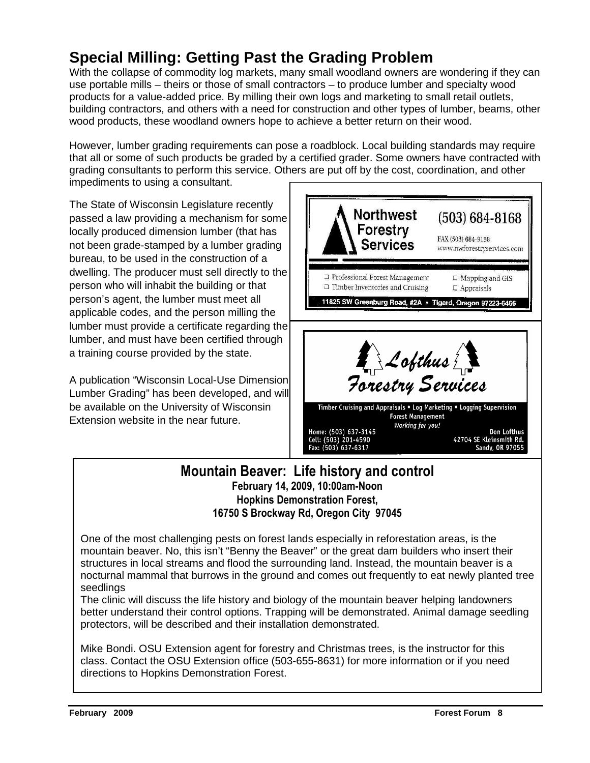# **Special Milling: Getting Past the Grading Problem**

With the collapse of commodity log markets, many small woodland owners are wondering if they can use portable mills – theirs or those of small contractors – to produce lumber and specialty wood products for a value-added price. By milling their own logs and marketing to small retail outlets, building contractors, and others with a need for construction and other types of lumber, beams, other wood products, these woodland owners hope to achieve a better return on their wood.

However, lumber grading requirements can pose a roadblock. Local building standards may require that all or some of such products be graded by a certified grader. Some owners have contracted with grading consultants to perform this service. Others are put off by the cost, coordination, and other impediments to using a consultant.

The State of Wisconsin Legislature recently passed a law providing a mechanism for some locally produced dimension lumber (that has not been grade-stamped by a lumber grading bureau, to be used in the construction of a dwelling. The producer must sell directly to the person who will inhabit the building or that person's agent, the lumber must meet all applicable codes, and the person milling the lumber must provide a certificate regarding the lumber, and must have been certified through a training course provided by the state.

A publication "Wisconsin Local-Use Dimension Lumber Grading" has been developed, and will be available on the University of Wisconsin Extension website in the near future.



#### Mountain Beaver: Life history and control February 14, 2009, 10:00am-Noon Hopkins Demonstration Forest, 16750 S Brockway Rd, Oregon City 97045

One of the most challenging pests on forest lands especially in reforestation areas, is the mountain beaver. No, this isn't "Benny the Beaver" or the great dam builders who insert their structures in local streams and flood the surrounding land. Instead, the mountain beaver is a nocturnal mammal that burrows in the ground and comes out frequently to eat newly planted tree seedlings

The clinic will discuss the life history and biology of the mountain beaver helping landowners better understand their control options. Trapping will be demonstrated. Animal damage seedling protectors, will be described and their installation demonstrated.

Mike Bondi. OSU Extension agent for forestry and Christmas trees, is the instructor for this class. Contact the OSU Extension office (503-655-8631) for more information or if you need directions to Hopkins Demonstration Forest.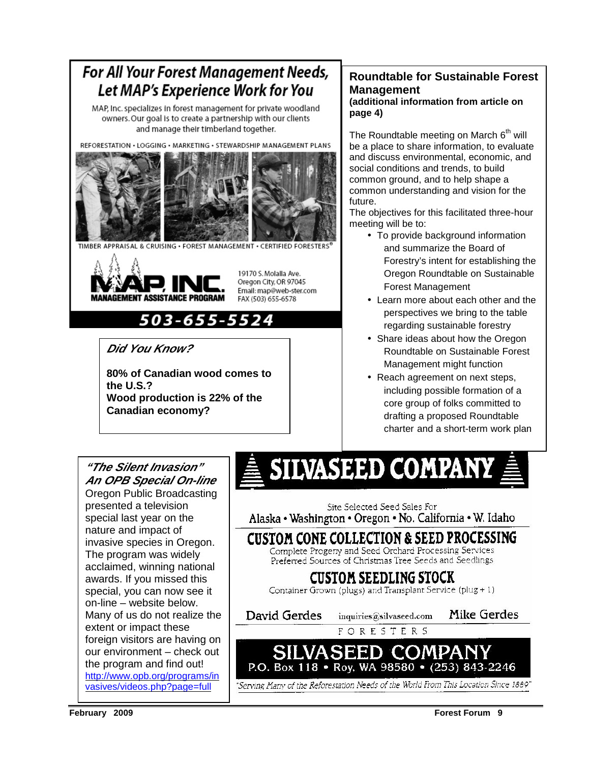# For All Your Forest Management Needs, Let MAP's Experience Work for You

MAP, Inc. specializes in forest management for private woodland owners. Our goal is to create a partnership with our clients and manage their timberland together.

REFORESTATION . LOGGING . MARKETING . STEWARDSHIP MANAGEMENT PLANS



TIMBER APPRAISAL & CRUISING · FOREST MANAGEMENT · CERTIFIED FORESTERS

503-655-5524



19170 S. Molalla Ave. Oregon City, OR 97045 Email: map@web-ster.com FAX (503) 655-6578

# **Did You Know?**

**80% of Canadian wood comes to the U.S.? Wood production is 22% of the Canadian economy?** 

#### **Roundtable for Sustainable Forest Management (additional information from article on page 4)**

The Roundtable meeting on March 6<sup>th</sup> will be a place to share information, to evaluate and discuss environmental, economic, and social conditions and trends, to build common ground, and to help shape a common understanding and vision for the future.

The objectives for this facilitated three-hour meeting will be to:

- To provide background information and summarize the Board of Forestry's intent for establishing the Oregon Roundtable on Sustainable Forest Management
- Learn more about each other and the perspectives we bring to the table regarding sustainable forestry
- Share ideas about how the Oregon Roundtable on Sustainable Forest Management might function
- Reach agreement on next steps, including possible formation of a core group of folks committed to drafting a proposed Roundtable charter and a short-term work plan

### **"The Silent Invasion" An OPB Special On-line**

Oregon Public Broadcasting presented a television special last year on the nature and impact of invasive species in Oregon. The program was widely acclaimed, winning national awards. If you missed this special, you can now see it on-line – website below. Many of us do not realize the extent or impact these foreign visitors are having on our environment – check out the program and find out! http://www.opb.org/programs/in vasives/videos.php?page=full

# SILVASEED COMPANY

Site Selected Seed Sales For Alaska • Washington • Oregon • No. California • W. Idaho

CUSTOM CONE COLLECTION & SEED PROCESSING Complete Progeny and Seed Orchard Processing Services Preferred Sources of Christmas Tree Seeds and Seedlings

# **CUSTOM SEEDLING STOCK**

Container Grown (plugs) and Transplant Service (plug  $+1$ )

**David Gerdes** 

Mike Gerdes inquiries@silvaseed.com

FORESTERS

SILVASEED COMPAI P.O. Box 118 • Roy, WA 98580 • (253) 843-2246

"Serving Many of the Reforestation Needs of the World From This Location Since 1889"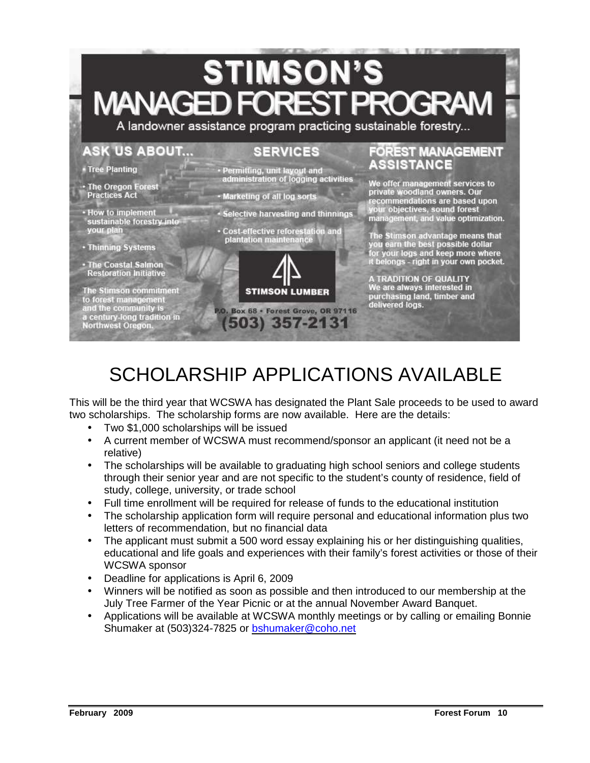# **STIMSON'S MANAGED FOREST**

A landowner assistance program practicing sustainable forestry...

#### **ASK US ABOUT...**

• How to implement

The Stimson commitment<br>to forest management<br>and the community is

a century-long tradition in<br>Northwest Oregon.

sustainable forestry into

#### **SERVICES**

• Tree Planting

**Practices Act** 

your plan

• Thinning Systems · The Coastal Salmon **Restoration Initiative** 

- Permitting, unit layout and administration of logging activities • The Oregon Forest
	- Marketing of all log sorts
	- Selective harvesting and thinnings
	- · Cost-effective reforestation and plantation maintenance



P.O. Box 68 · Forest Grove, OR 97116 (503) 357-2131

#### **FOREST MANAGEMENT** ASSISTANCE

We offer management services to<br>private woodland owners. Our commendations are based upon your objectives, sound forest<br>management, and value optimization.

The Stimson advantage means that<br>you earn the best possible dollar<br>for your logs and keep more where<br>it belongs - right in your own pocket.

A TRADITION OF QUALITY We are always interested in purchasing land, timber and delivered logs.

# SCHOLARSHIP APPLICATIONS AVAILABLE

This will be the third year that WCSWA has designated the Plant Sale proceeds to be used to award two scholarships. The scholarship forms are now available. Here are the details:

- Two \$1,000 scholarships will be issued
- A current member of WCSWA must recommend/sponsor an applicant (it need not be a relative)
- The scholarships will be available to graduating high school seniors and college students through their senior year and are not specific to the student's county of residence, field of study, college, university, or trade school
- Full time enrollment will be required for release of funds to the educational institution
- The scholarship application form will require personal and educational information plus two letters of recommendation, but no financial data
- The applicant must submit a 500 word essay explaining his or her distinguishing qualities, educational and life goals and experiences with their family's forest activities or those of their WCSWA sponsor
- Deadline for applications is April 6, 2009
- Winners will be notified as soon as possible and then introduced to our membership at the July Tree Farmer of the Year Picnic or at the annual November Award Banquet.
- Applications will be available at WCSWA monthly meetings or by calling or emailing Bonnie Shumaker at (503)324-7825 or bshumaker@coho.net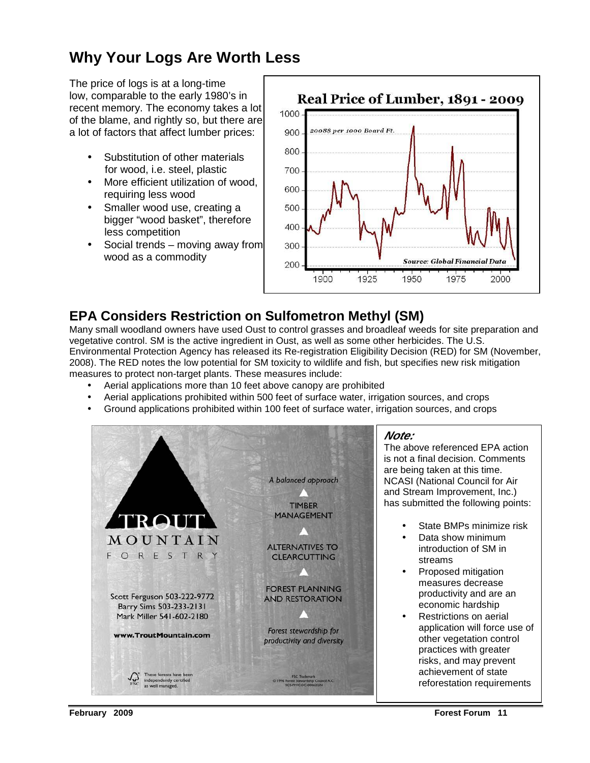# **Why Your Logs Are Worth Less**

The price of logs is at a long-time low, comparable to the early 1980's in recent memory. The economy takes a lot of the blame, and rightly so, but there are a lot of factors that affect lumber prices:

- Substitution of other materials for wood, i.e. steel, plastic
- More efficient utilization of wood, requiring less wood
- Smaller wood use, creating a bigger "wood basket", therefore less competition
- Social trends moving away from wood as a commodity



### **EPA Considers Restriction on Sulfometron Methyl (SM)**

Many small woodland owners have used Oust to control grasses and broadleaf weeds for site preparation and vegetative control. SM is the active ingredient in Oust, as well as some other herbicides. The U.S. Environmental Protection Agency has released its Re-registration Eligibility Decision (RED) for SM (November, 2008). The RED notes the low potential for SM toxicity to wildlife and fish, but specifies new risk mitigation measures to protect non-target plants. These measures include:

- Aerial applications more than 10 feet above canopy are prohibited
- Aerial applications prohibited within 500 feet of surface water, irrigation sources, and crops
- Ground applications prohibited within 100 feet of surface water, irrigation sources, and crops



#### **Note:**

The above referenced EPA action is not a final decision. Comments are being taken at this time. NCASI (National Council for Air and Stream Improvement, Inc.) has submitted the following points:

- State BMPs minimize risk
- Data show minimum introduction of SM in streams
- Proposed mitigation measures decrease productivity and are an economic hardship
- Restrictions on aerial application will force use of other vegetation control practices with greater risks, and may prevent achievement of state reforestation requirements